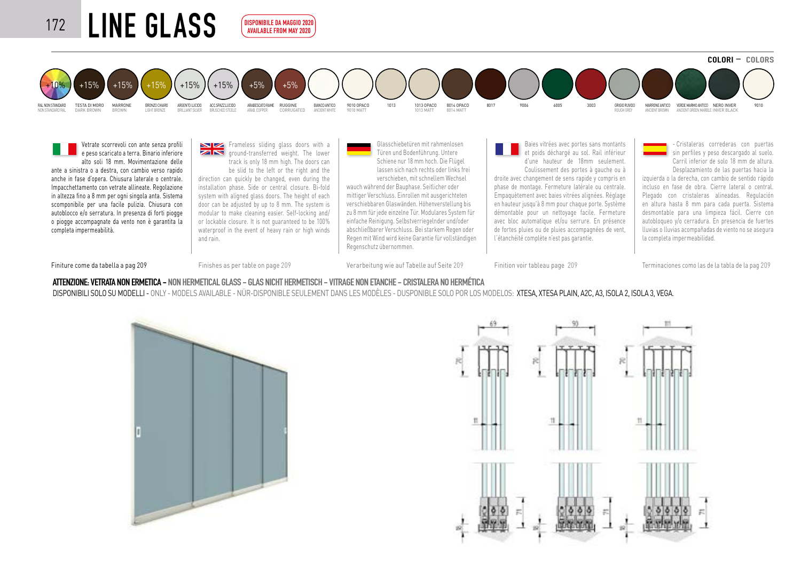## 172 LINE GLASS  $COLORI - COLORS$ RAL NON STANDARD TESTA DI MORO MARRONE BRONZO CHIARO ARGENTO LUCIDO ACC.SPAZZ.LUCIDO ARABESCATO RAME BIANCO ANTICO 9010 OPACO 1013 1013 OPACO 8017 9006 6005 3003 GRIGIO RUVIDO MARRONE ANTICO VERDE MARMO ANTICO NERO INVER 9010 RALMONTARD TESTADINOR MARRONE BRUXCHARD ARBENTULDIO ACCSPAZIUDIDIO ARABESORTRAME RUGGINE BRUSCHED ANCERIT BRUSCHED ANCIENT DIS DIS DALLO DI DIS DALLO DI DIS DALLO DI DIS DALLO DI DIS DALLO DI DIS DALLO DI DIS DALLO DI DIS CORRUGATED 8014 MATT +10% +15% +15% +15% +15% +15% +15% +5% +5% AVAILABLE FROM MAY 2020

Vetrate scorrevoli con ante senza profili e peso scaricato a terra. Binario inferiore alto soli 18 mm. Movimentazione delle ante a sinistra o a destra, con cambio verso rapido anche in fase d'opera. Chiusura laterale o centrale. Impacchettamento con vetrate allineate. Regolazione in altezza fino a 8 mm per ogni singola anta. Sistema scomponibile per una facile pulizia. Chiusura con autoblocco e/o serratura. In presenza di forti piogge o piogge accompagnate da vento non è garantita la completa impermeabilità.

Frameless sliding glass doors with a **ZIN** around-transferred weight. The lower track is only 18 mm high. The doors can be slid to the left or the right and the direction can quickly be changed, even during the

.<br>Disponibile da Maggio 2021

installation phase. Side or central closure. Bi-fold system with aligned glass doors. The height of each door can be adjusted by up to 8 mm. The system is modular to make cleaning easier. Self-locking and/ or lockable closure. It is not guaranteed to be 100% waterproof in the event of heavy rain or high winds and rain.

Glasschiebetüren mit rahmenlosen Türen und Bodenführung. Untere Schiene nur 18 mm hoch. Die Flügel lassen sich nach rechts oder links frei verschieben, mit schnellem Wechsel

wauch während der Bauphase. Seitlicher oder mittiger Verschluss. Einrollen mit ausgerichteten verschiebbaren Glaswänden. Höhenverstellung bis zu 8 mm für jede einzelne Tür. Modulares System für einfache Reinigung. Selbstverriegelnder und/oder abschließbarer Verschluss. Bei starkem Regen oder Regen mit Wind wird keine Garantie für vollständigen Regenschutz übernommen.

Baies vitrées avec portes sans montants et poids déchargé au sol. Rail inférieur d'une hauteur de 18mm seulement. Coulissement des portes à gauche ou à droite avec changement de sens rapide y compris en phase de montage. Fermeture latérale ou centrale. Empaquètement avec baies vitrées alignées. Réglage en hauteur jusqu'à 8 mm pour chaque porte. Système démontable pour un nettoyage facile. Fermeture avec bloc automatique et/ou serrure. En présence de fortes pluies ou de pluies accompagnées de vent, l'étanchéité complète n'est pas garantie.

- Cristaleras correderas con puertas sin perfiles y peso descargado al suelo. Carril inferior de solo 18 mm de altura.

Desplazamiento de las puertas hacia la izquierda o la derecha, con cambio de sentido rápido incluso en fase de obra. Cierre lateral o central. Plegado con cristaleras alineadas. Regulación en altura hasta 8 mm para cada puerta. Sistema desmontable para una limpieza fácil. Cierre con autobloqueo y/o cerradura. En presencia de fuertes lluvias o lluvias acompañadas de viento no se asegura la completa impermeabilidad.

Finiture come da tabella a pag 209 Finishes as per table on page 209 Verarbeitung wie auf Tabelle auf Seite 209 Finition voir tableau page 209 Terminaciones como las de la tabla de la pag 209

## ATTENZIONE: VETRATA NON ERMETICA - NON HERMETICAL GLASS - GLAS NICHT HERMETISCH - VITRAGE NON ETANCHE - CRISTALERA NO HERMÉTICA

DISPONIBILI SOLO SU MODELLI - ONLY - MODELS AVAILABLE - NÜR-DISPONIBLE SEULEMENT DANS LES MODÈLES - DUSPONIBLE SOLO POR LOS MODELOS: XTESA, XTESA PLAIN, A2C, A3, ISOLA 2, ISOLA 3, VEGA.